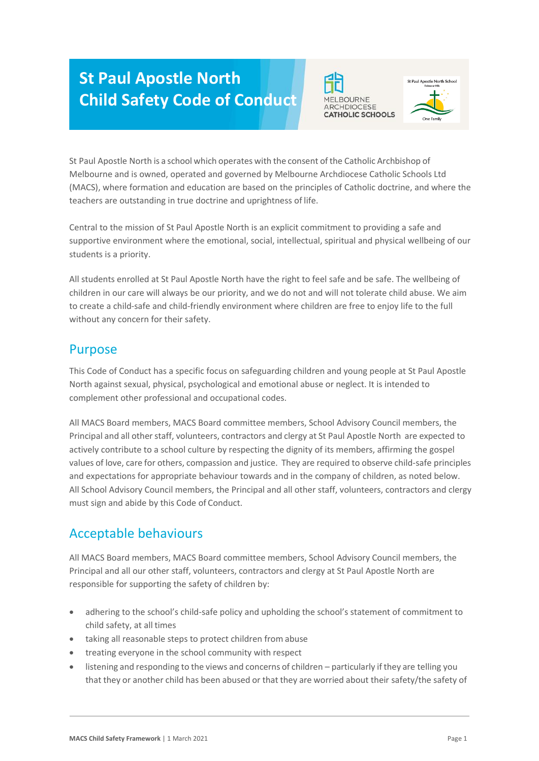# **St Paul Apostle North Child Safety Code of Conduct**





St Paul Apostle North is a school which operates with the consent of the Catholic Archbishop of Melbourne and is owned, operated and governed by Melbourne Archdiocese Catholic Schools Ltd (MACS), where formation and education are based on the principles of Catholic doctrine, and where the teachers are outstanding in true doctrine and uprightness of life.

Central to the mission of St Paul Apostle North is an explicit commitment to providing a safe and supportive environment where the emotional, social, intellectual, spiritual and physical wellbeing of our students is a priority.

All students enrolled at St Paul Apostle North have the right to feel safe and be safe. The wellbeing of children in our care will always be our priority, and we do not and will not tolerate child abuse. We aim to create a child-safe and child-friendly environment where children are free to enjoy life to the full without any concern for their safety.

#### Purpose

This Code of Conduct has a specific focus on safeguarding children and young people at St Paul Apostle North against sexual, physical, psychological and emotional abuse or neglect. It is intended to complement other professional and occupational codes.

All MACS Board members, MACS Board committee members, School Advisory Council members, the Principal and all other staff, volunteers, contractors and clergy at St Paul Apostle North are expected to actively contribute to a school culture by respecting the dignity of its members, affirming the gospel values of love, care for others, compassion and justice. They are required to observe child-safe principles and expectations for appropriate behaviour towards and in the company of children, as noted below. All School Advisory Council members, the Principal and all other staff, volunteers, contractors and clergy must sign and abide by this Code of Conduct.

# Acceptable behaviours

All MACS Board members, MACS Board committee members, School Advisory Council members, the Principal and all our other staff, volunteers, contractors and clergy at St Paul Apostle North are responsible for supporting the safety of children by:

- adhering to the school's child-safe policy and upholding the school's statement of commitment to child safety, at all times
- taking all reasonable steps to protect children from abuse
- treating everyone in the school community with respect
- listening and responding to the views and concerns of children particularly if they are telling you that they or another child has been abused or that they are worried about their safety/the safety of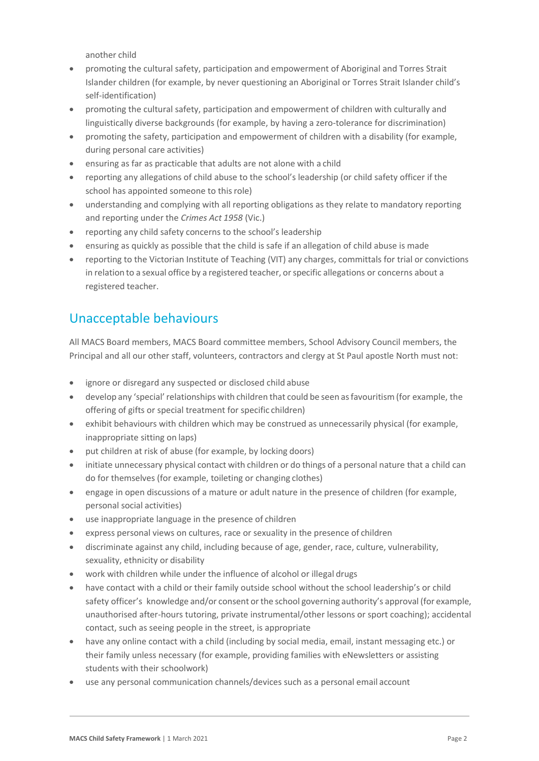another child

- promoting the cultural safety, participation and empowerment of Aboriginal and Torres Strait Islander children (for example, by never questioning an Aboriginal or Torres Strait Islander child's self-identification)
- promoting the cultural safety, participation and empowerment of children with culturally and linguistically diverse backgrounds (for example, by having a zero-tolerance for discrimination)
- promoting the safety, participation and empowerment of children with a disability (for example, during personal care activities)
- ensuring as far as practicable that adults are not alone with a child
- reporting any allegations of child abuse to the school's leadership (or child safety officer if the school has appointed someone to this role)
- understanding and complying with all reporting obligations as they relate to mandatory reporting and reporting under the *Crimes Act 1958* (Vic.)
- reporting any child safety concerns to the school's leadership
- ensuring as quickly as possible that the child is safe if an allegation of child abuse is made
- reporting to the Victorian Institute of Teaching (VIT) any charges, committals for trial or convictions in relation to a sexual office by a registered teacher, orspecific allegations or concerns about a registered teacher.

# Unacceptable behaviours

All MACS Board members, MACS Board committee members, School Advisory Council members, the Principal and all our other staff, volunteers, contractors and clergy at St Paul apostle North must not:

- ignore or disregard any suspected or disclosed child abuse
- develop any 'special'relationships with children that could be seen asfavouritism (for example, the offering of gifts or special treatment for specific children)
- exhibit behaviours with children which may be construed as unnecessarily physical (for example, inappropriate sitting on laps)
- put children at risk of abuse (for example, by locking doors)
- initiate unnecessary physical contact with children or do things of a personal nature that a child can do for themselves (for example, toileting or changing clothes)
- engage in open discussions of a mature or adult nature in the presence of children (for example, personal social activities)
- use inappropriate language in the presence of children
- express personal views on cultures, race or sexuality in the presence of children
- discriminate against any child, including because of age, gender, race, culture, vulnerability, sexuality, ethnicity or disability
- work with children while under the influence of alcohol or illegal drugs
- have contact with a child or their family outside school without the school leadership's or child safety officer's knowledge and/or consent or the school governing authority's approval (for example, unauthorised after-hours tutoring, private instrumental/other lessons or sport coaching); accidental contact, such as seeing people in the street, is appropriate
- have any online contact with a child (including by social media, email, instant messaging etc.) or their family unless necessary (for example, providing families with eNewsletters or assisting students with their schoolwork)
- use any personal communication channels/devices such as a personal email account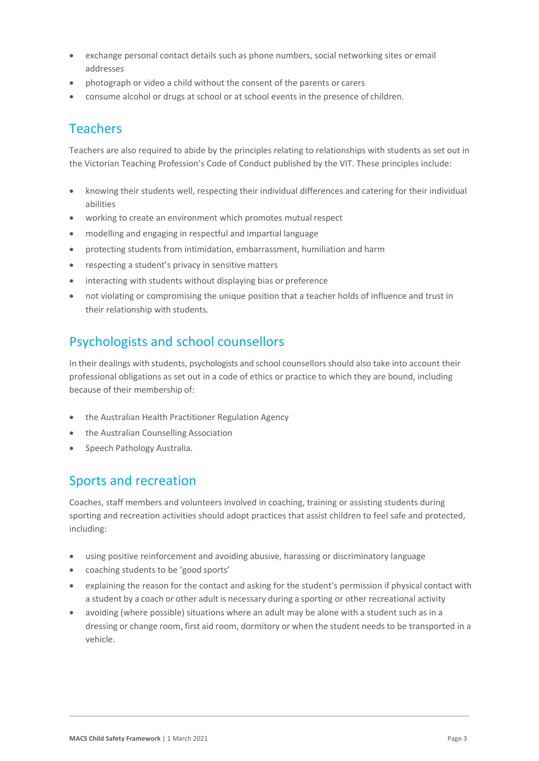- exchange personal contact details such as phone numbers, social networking sites or email addresses
- photograph or video a child without the consent of the parents or carers
- consume alcohol or drugs at school or at school events in the presence of children.

### Teachers

Teachers are also required to abide by the principles relating to relationships with students as set out in the Victorian Teaching Profession's Code of Conduct published by the VIT. These principles include:

- knowing their students well, respecting their individual differences and catering for their individual abilities
- working to create an environment which promotes mutual respect
- modelling and engaging in respectful and impartial language
- protecting students from intimidation, embarrassment, humiliation and harm
- respecting a student's privacy in sensitive matters
- interacting with students without displaying bias or preference
- not violating or compromising the unique position that a teacher holds of influence and trust in their relationship with students.

### Psychologists and school counsellors

In their dealings with students, psychologists and school counsellorsshould also take into account their professional obligations as set out in a code of ethics or practice to which they are bound, including because of their membership of:

- the Australian Health Practitioner Regulation Agency
- the Australian Counselling Association
- Speech Pathology Australia.

#### Sports and recreation

Coaches, staff members and volunteers involved in coaching, training or assisting students during sporting and recreation activities should adopt practices that assist children to feel safe and protected, including:

- using positive reinforcement and avoiding abusive, harassing or discriminatory language
- coaching students to be 'good sports'
- explaining the reason for the contact and asking for the student's permission if physical contact with a student by a coach or other adult is necessary during a sporting or other recreational activity
- avoiding (where possible) situations where an adult may be alone with a student such as in a dressing or change room, first aid room, dormitory or when the student needs to be transported in a vehicle.